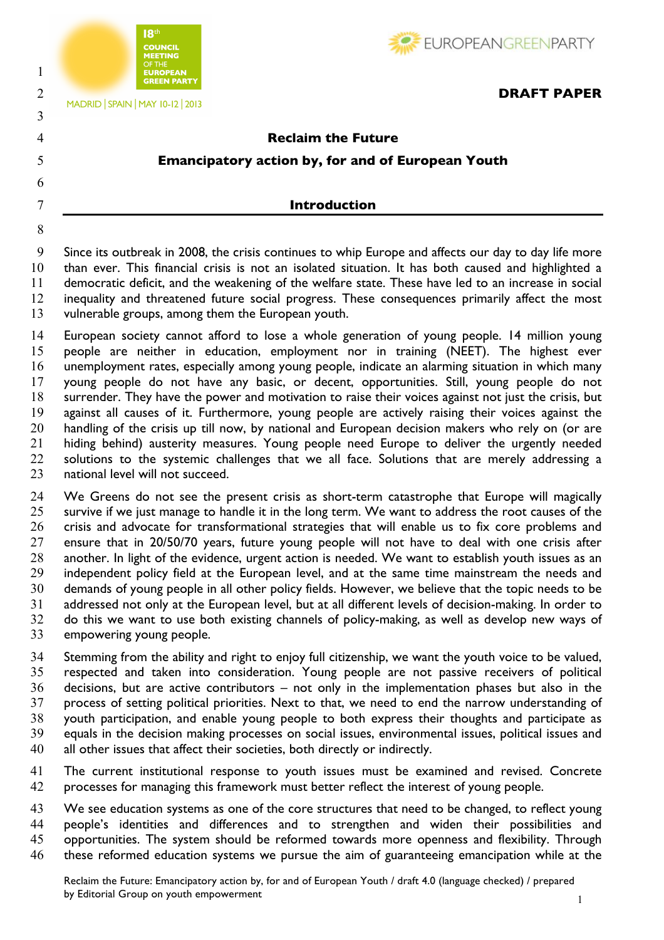



2 **DRAFT PAPER**<br>MADRID SPAIN MAY 10-12 2013

# **Reclaim the Future Emancipatory action by, for and of European Youth**

## **Introduction**

 Since its outbreak in 2008, the crisis continues to whip Europe and affects our day to day life more than ever. This financial crisis is not an isolated situation. It has both caused and highlighted a democratic deficit, and the weakening of the welfare state. These have led to an increase in social inequality and threatened future social progress. These consequences primarily affect the most vulnerable groups, among them the European youth.

 European society cannot afford to lose a whole generation of young people. 14 million young people are neither in education, employment nor in training (NEET). The highest ever unemployment rates, especially among young people, indicate an alarming situation in which many young people do not have any basic, or decent, opportunities. Still, young people do not surrender. They have the power and motivation to raise their voices against not just the crisis, but against all causes of it. Furthermore, young people are actively raising their voices against the 20 handling of the crisis up till now, by national and European decision makers who rely on (or are hiding behind) austerity measures. Young people need Europe to deliver the urgently needed 22 solutions to the systemic challenges that we all face. Solutions that are merely addressing a 23 national level will not succeed.

24 We Greens do not see the present crisis as short-term catastrophe that Europe will magically 25 survive if we just manage to handle it in the long term. We want to address the root causes of the crisis and advocate for transformational strategies that will enable us to fix core problems and ensure that in 20/50/70 years, future young people will not have to deal with one crisis after another. In light of the evidence, urgent action is needed. We want to establish youth issues as an independent policy field at the European level, and at the same time mainstream the needs and demands of young people in all other policy fields. However, we believe that the topic needs to be addressed not only at the European level, but at all different levels of decision-making. In order to do this we want to use both existing channels of policy-making, as well as develop new ways of empowering young people.

 Stemming from the ability and right to enjoy full citizenship, we want the youth voice to be valued, respected and taken into consideration. Young people are not passive receivers of political decisions, but are active contributors – not only in the implementation phases but also in the process of setting political priorities. Next to that, we need to end the narrow understanding of youth participation, and enable young people to both express their thoughts and participate as equals in the decision making processes on social issues, environmental issues, political issues and all other issues that affect their societies, both directly or indirectly.

 The current institutional response to youth issues must be examined and revised. Concrete processes for managing this framework must better reflect the interest of young people.

43 We see education systems as one of the core structures that need to be changed, to reflect young people's identities and differences and to strengthen and widen their possibilities and opportunities. The system should be reformed towards more openness and flexibility. Through these reformed education systems we pursue the aim of guaranteeing emancipation while at the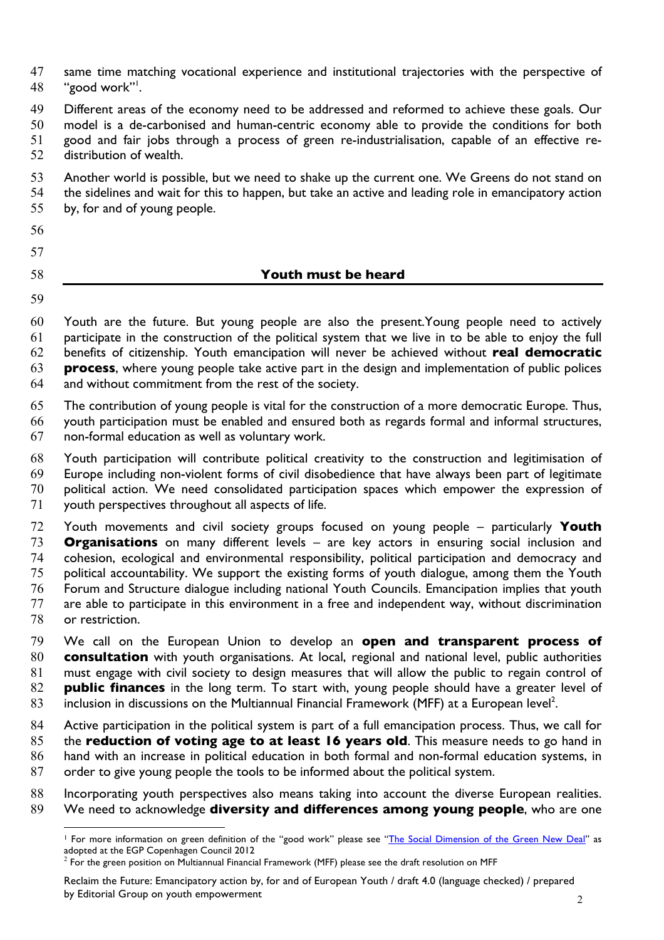same time matching vocational experience and institutional trajectories with the perspective of 48 "good work".

 Different areas of the economy need to be addressed and reformed to achieve these goals. Our model is a de-carbonised and human-centric economy able to provide the conditions for both good and fair jobs through a process of green re-industrialisation, capable of an effective re-distribution of wealth.

 Another world is possible, but we need to shake up the current one. We Greens do not stand on the sidelines and wait for this to happen, but take an active and leading role in emancipatory action by, for and of young people.

# 

### **Youth must be heard**

 $\overline{a}$ 

 Youth are the future. But young people are also the present.Young people need to actively participate in the construction of the political system that we live in to be able to enjoy the full benefits of citizenship. Youth emancipation will never be achieved without **real democratic process**, where young people take active part in the design and implementation of public polices and without commitment from the rest of the society.

 The contribution of young people is vital for the construction of a more democratic Europe. Thus, youth participation must be enabled and ensured both as regards formal and informal structures, non-formal education as well as voluntary work.

 Youth participation will contribute political creativity to the construction and legitimisation of Europe including non-violent forms of civil disobedience that have always been part of legitimate political action. We need consolidated participation spaces which empower the expression of youth perspectives throughout all aspects of life.

 Youth movements and civil society groups focused on young people – particularly **Youth Organisations** on many different levels – are key actors in ensuring social inclusion and cohesion, ecological and environmental responsibility, political participation and democracy and political accountability. We support the existing forms of youth dialogue, among them the Youth Forum and Structure dialogue including national Youth Councils. Emancipation implies that youth are able to participate in this environment in a free and independent way, without discrimination or restriction.

 We call on the European Union to develop an **open and transparent process of consultation** with youth organisations. At local, regional and national level, public authorities must engage with civil society to design measures that will allow the public to regain control of **public finances** in the long term. To start with, young people should have a greater level of inclusion in discussions on the Multiannual Financial Framework (MFF) at a European level<sup>2</sup>.

 Active participation in the political system is part of a full emancipation process. Thus, we call for the **reduction of voting age to at least 16 years old**. This measure needs to go hand in hand with an increase in political education in both formal and non-formal education systems, in order to give young people the tools to be informed about the political system.

88 Incorporating youth perspectives also means taking into account the diverse European realities. We need to acknowledge **diversity and differences among young people**, who are one

 For more information on green definition of the "good work" please see "The Social Dimension of the Green New Deal" as adopted at the EGP Copenhagen Council 2012

 $^2$  For the green position on Multiannual Financial Framework (MFF) please see the draft resolution on MFF

Reclaim the Future: Emancipatory action by, for and of European Youth / draft 4.0 (language checked) / prepared by Editorial Group on youth empowerment 2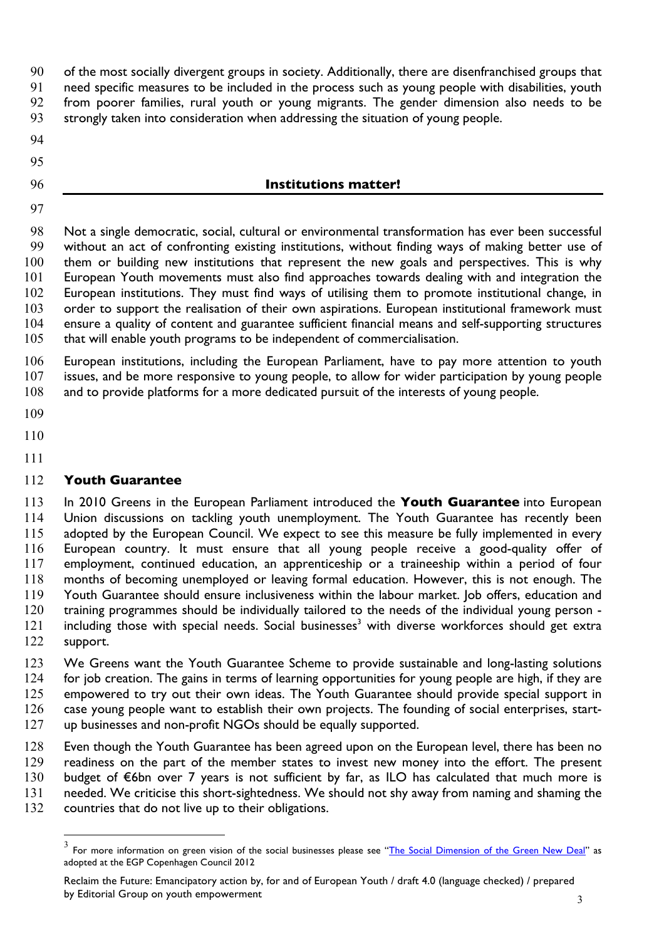of the most socially divergent groups in society. Additionally, there are disenfranchised groups that

need specific measures to be included in the process such as young people with disabilities, youth

- from poorer families, rural youth or young migrants. The gender dimension also needs to be
- strongly taken into consideration when addressing the situation of young people.
- 
- 
- 

## **Institutions matter!**

 Not a single democratic, social, cultural or environmental transformation has ever been successful without an act of confronting existing institutions, without finding ways of making better use of 100 them or building new institutions that represent the new goals and perspectives. This is why European Youth movements must also find approaches towards dealing with and integration the European institutions. They must find ways of utilising them to promote institutional change, in order to support the realisation of their own aspirations. European institutional framework must ensure a quality of content and guarantee sufficient financial means and self-supporting structures 105 that will enable youth programs to be independent of commercialisation.

 European institutions, including the European Parliament, have to pay more attention to youth issues, and be more responsive to young people, to allow for wider participation by young people and to provide platforms for a more dedicated pursuit of the interests of young people.

- 
- 
- 

# **Youth Guarantee**

 In 2010 Greens in the European Parliament introduced the **Youth Guarantee** into European Union discussions on tackling youth unemployment. The Youth Guarantee has recently been adopted by the European Council. We expect to see this measure be fully implemented in every European country. It must ensure that all young people receive a good-quality offer of employment, continued education, an apprenticeship or a traineeship within a period of four months of becoming unemployed or leaving formal education. However, this is not enough. The Youth Guarantee should ensure inclusiveness within the labour market. Job offers, education and training programmes should be individually tailored to the needs of the individual young person - 121 including those with special needs. Social businesses<sup>3</sup> with diverse workforces should get extra support.

 We Greens want the Youth Guarantee Scheme to provide sustainable and long-lasting solutions 124 for job creation. The gains in terms of learning opportunities for young people are high, if they are empowered to try out their own ideas. The Youth Guarantee should provide special support in case young people want to establish their own projects. The founding of social enterprises, start-up businesses and non-profit NGOs should be equally supported.

 Even though the Youth Guarantee has been agreed upon on the European level, there has been no readiness on the part of the member states to invest new money into the effort. The present budget of €6bn over 7 years is not sufficient by far, as ILO has calculated that much more is needed. We criticise this short-sightedness. We should not shy away from naming and shaming the

countries that do not live up to their obligations.

 $^3$  For more information on green vision of the social businesses please see "<u>The Social Dimension of the Green New Deal</u>" as adopted at the EGP Copenhagen Council 2012

Reclaim the Future: Emancipatory action by, for and of European Youth / draft 4.0 (language checked) / prepared by Editorial Group on youth empowerment 3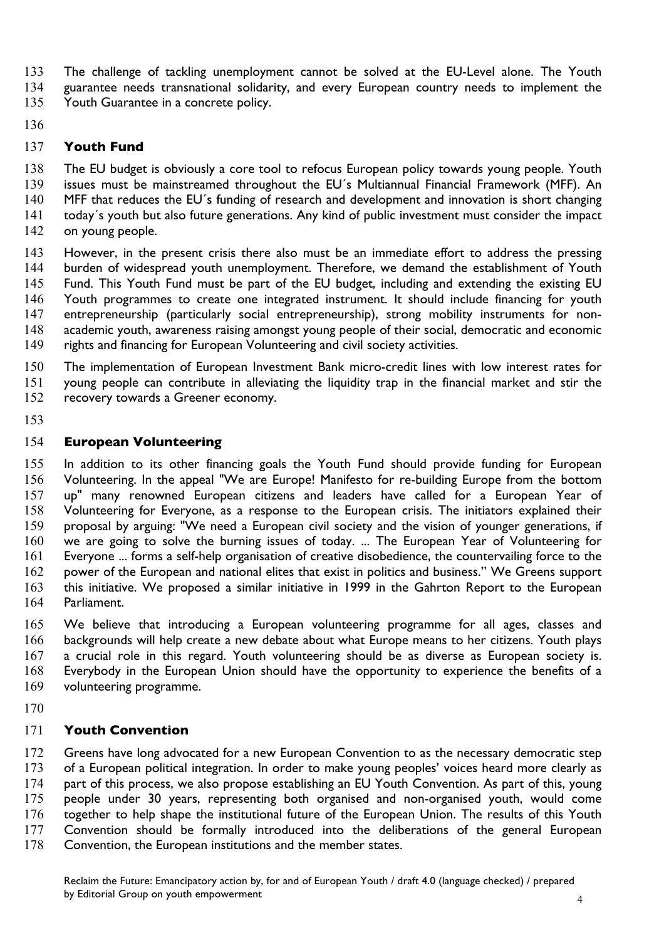- The challenge of tackling unemployment cannot be solved at the EU-Level alone. The Youth
- guarantee needs transnational solidarity, and every European country needs to implement the
- Youth Guarantee in a concrete policy.
- 

## **Youth Fund**

 The EU budget is obviously a core tool to refocus European policy towards young people. Youth issues must be mainstreamed throughout the EU´s Multiannual Financial Framework (MFF). An 140 MFF that reduces the EU's funding of research and development and innovation is short changing today´s youth but also future generations. Any kind of public investment must consider the impact 142 on young people.

- However, in the present crisis there also must be an immediate effort to address the pressing burden of widespread youth unemployment. Therefore, we demand the establishment of Youth Fund. This Youth Fund must be part of the EU budget, including and extending the existing EU Youth programmes to create one integrated instrument. It should include financing for youth entrepreneurship (particularly social entrepreneurship), strong mobility instruments for non- academic youth, awareness raising amongst young people of their social, democratic and economic rights and financing for European Volunteering and civil society activities.
- The implementation of European Investment Bank micro-credit lines with low interest rates for young people can contribute in alleviating the liquidity trap in the financial market and stir the recovery towards a Greener economy.
- 

## **European Volunteering**

 In addition to its other financing goals the Youth Fund should provide funding for European Volunteering. In the appeal "We are Europe! Manifesto for re-building Europe from the bottom up" many renowned European citizens and leaders have called for a European Year of Volunteering for Everyone, as a response to the European crisis. The initiators explained their proposal by arguing: "We need a European civil society and the vision of younger generations, if we are going to solve the burning issues of today. ... The European Year of Volunteering for Everyone ... forms a self-help organisation of creative disobedience, the countervailing force to the power of the European and national elites that exist in politics and business." We Greens support this initiative. We proposed a similar initiative in 1999 in the Gahrton Report to the European Parliament.

 We believe that introducing a European volunteering programme for all ages, classes and backgrounds will help create a new debate about what Europe means to her citizens. Youth plays a crucial role in this regard. Youth volunteering should be as diverse as European society is. Everybody in the European Union should have the opportunity to experience the benefits of a volunteering programme.

## **Youth Convention**

 Greens have long advocated for a new European Convention to as the necessary democratic step of a European political integration. In order to make young peoples' voices heard more clearly as 174 part of this process, we also propose establishing an EU Youth Convention. As part of this, young people under 30 years, representing both organised and non-organised youth, would come together to help shape the institutional future of the European Union. The results of this Youth Convention should be formally introduced into the deliberations of the general European Convention, the European institutions and the member states.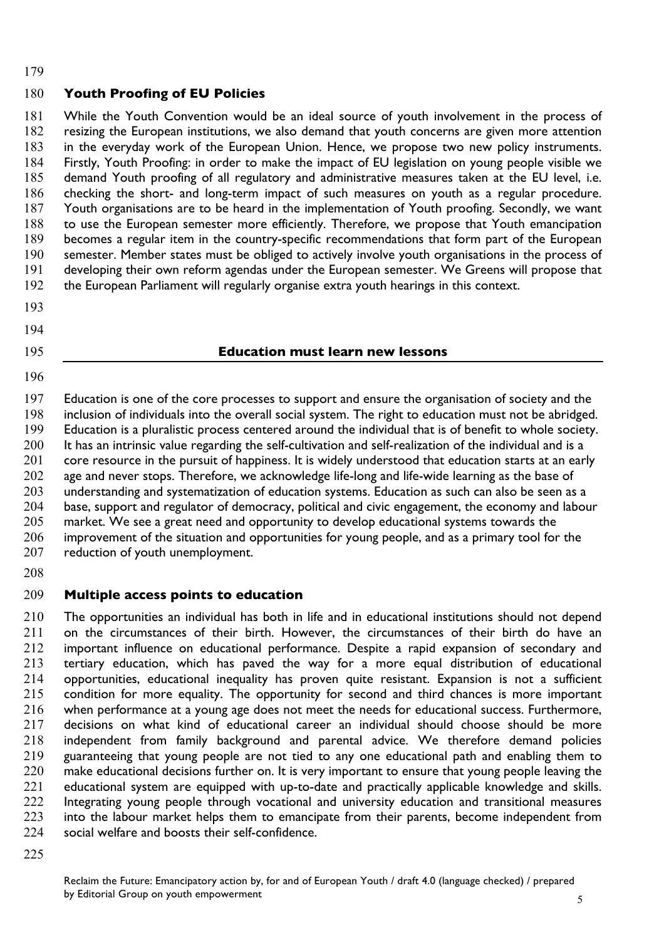#### 

# **Youth Proofing of EU Policies**

 While the Youth Convention would be an ideal source of youth involvement in the process of resizing the European institutions, we also demand that youth concerns are given more attention in the everyday work of the European Union. Hence, we propose two new policy instruments. Firstly, Youth Proofing: in order to make the impact of EU legislation on young people visible we demand Youth proofing of all regulatory and administrative measures taken at the EU level, i.e. checking the short- and long-term impact of such measures on youth as a regular procedure. Youth organisations are to be heard in the implementation of Youth proofing. Secondly, we want to use the European semester more efficiently. Therefore, we propose that Youth emancipation becomes a regular item in the country-specific recommendations that form part of the European semester. Member states must be obliged to actively involve youth organisations in the process of developing their own reform agendas under the European semester. We Greens will propose that the European Parliament will regularly organise extra youth hearings in this context.

- 
- 
- 

#### **Education must learn new lessons**

 Education is one of the core processes to support and ensure the organisation of society and the inclusion of individuals into the overall social system. The right to education must not be abridged. Education is a pluralistic process centered around the individual that is of benefit to whole society. 200 It has an intrinsic value regarding the self-cultivation and self-realization of the individual and is a 201 core resource in the pursuit of happiness. It is widely understood that education starts at an early 202 age and never stops. Therefore, we acknowledge life-long and life-wide learning as the base of understanding and systematization of education systems. Education as such can also be seen as a base, support and regulator of democracy, political and civic engagement, the economy and labour market. We see a great need and opportunity to develop educational systems towards the improvement of the situation and opportunities for young people, and as a primary tool for the 207 reduction of youth unemployment.

## **Multiple access points to education**

 The opportunities an individual has both in life and in educational institutions should not depend 211 on the circumstances of their birth. However, the circumstances of their birth do have an 212 important influence on educational performance. Despite a rapid expansion of secondary and important influence on educational performance. Despite a rapid expansion of secondary and tertiary education, which has paved the way for a more equal distribution of educational opportunities, educational inequality has proven quite resistant. Expansion is not a sufficient 215 condition for more equality. The opportunity for second and third chances is more important when performance at a young age does not meet the needs for educational success. Furthermore, decisions on what kind of educational career an individual should choose should be more independent from family background and parental advice. We therefore demand policies guaranteeing that young people are not tied to any one educational path and enabling them to make educational decisions further on. It is very important to ensure that young people leaving the 221 educational system are equipped with up-to-date and practically applicable knowledge and skills.<br>222 Integrating young people through vocational and university education and transitional measures Integrating young people through vocational and university education and transitional measures into the labour market helps them to emancipate from their parents, become independent from 224 social welfare and boosts their self-confidence.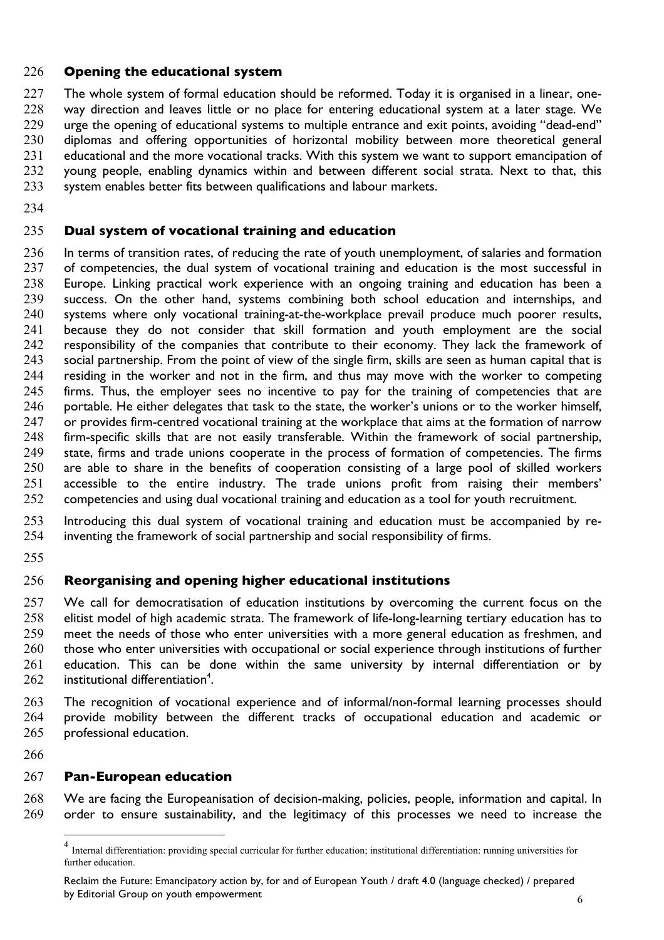#### **Opening the educational system**

 The whole system of formal education should be reformed. Today it is organised in a linear, one-228 way direction and leaves little or no place for entering educational system at a later stage. We urge the opening of educational systems to multiple entrance and exit points, avoiding "dead-end" diplomas and offering opportunities of horizontal mobility between more theoretical general 231 educational and the more vocational tracks. With this system we want to support emancipation of young people, enabling dynamics within and between different social strata. Next to that, this 233 system enables better fits between qualifications and labour markets.

#### **Dual system of vocational training and education**

 In terms of transition rates, of reducing the rate of youth unemployment, of salaries and formation 237 of competencies, the dual system of vocational training and education is the most successful in Europe. Linking practical work experience with an ongoing training and education has been a success. On the other hand, systems combining both school education and internships, and systems where only vocational training-at-the-workplace prevail produce much poorer results, because they do not consider that skill formation and youth employment are the social 242 responsibility of the companies that contribute to their economy. They lack the framework of 243 social partnership. From the point of view of the single firm, skills are seen as human capital that is residing in the worker and not in the firm, and thus may move with the worker to competing 245 firms. Thus, the employer sees no incentive to pay for the training of competencies that are portable. He either delegates that task to the state, the worker's unions or to the worker himself, 247 or provides firm-centred vocational training at the workplace that aims at the formation of narrow firm-specific skills that are not easily transferable. Within the framework of social partnership, state, firms and trade unions cooperate in the process of formation of competencies. The firms are able to share in the benefits of cooperation consisting of a large pool of skilled workers accessible to the entire industry. The trade unions profit from raising their members' competencies and using dual vocational training and education as a tool for youth recruitment.

 Introducing this dual system of vocational training and education must be accompanied by re-inventing the framework of social partnership and social responsibility of firms.

### **Reorganising and opening higher educational institutions**

257 We call for democratisation of education institutions by overcoming the current focus on the elitist model of high academic strata. The framework of life-long-learning tertiary education has to meet the needs of those who enter universities with a more general education as freshmen, and 260 those who enter universities with occupational or social experience through institutions of further education. This can be done within the same university by internal differentiation or by 262 institutional differentiation<sup>4</sup>.

 The recognition of vocational experience and of informal/non-formal learning processes should provide mobility between the different tracks of occupational education and academic or professional education.

#### **Pan-European education**

 We are facing the Europeanisation of decision-making, policies, people, information and capital. In order to ensure sustainability, and the legitimacy of this processes we need to increase the

 Internal differentiation: providing special curricular for further education; institutional differentiation: running universities for further education.

Reclaim the Future: Emancipatory action by, for and of European Youth / draft 4.0 (language checked) / prepared by Editorial Group on youth empowerment <sup>6</sup>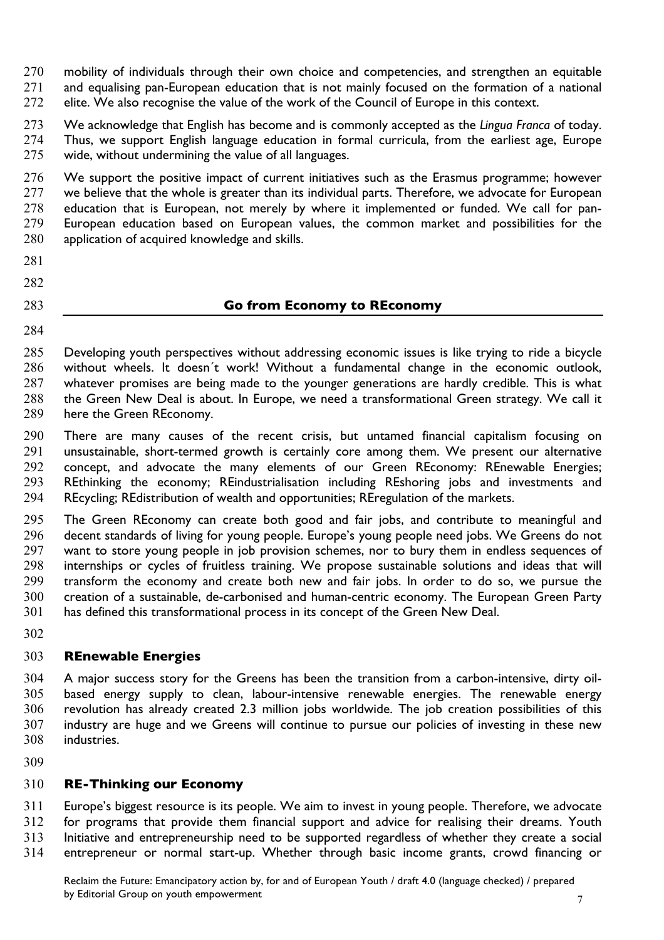270 mobility of individuals through their own choice and competencies, and strengthen an equitable and equalising pan-European education that is not mainly focused on the formation of a national 272 elite. We also recognise the value of the work of the Council of Europe in this context.

 We acknowledge that English has become and is commonly accepted as the *Lingua Franca* of today. Thus, we support English language education in formal curricula, from the earliest age, Europe wide, without undermining the value of all languages.

276 We support the positive impact of current initiatives such as the Erasmus programme; however 277 we believe that the whole is greater than its individual parts. Therefore, we advocate for European education that is European, not merely by where it implemented or funded. We call for pan- European education based on European values, the common market and possibilities for the application of acquired knowledge and skills.

- 
- 

## **Go from Economy to REconomy**

 Developing youth perspectives without addressing economic issues is like trying to ride a bicycle without wheels. It doesn´t work! Without a fundamental change in the economic outlook, whatever promises are being made to the younger generations are hardly credible. This is what the Green New Deal is about. In Europe, we need a transformational Green strategy. We call it here the Green REconomy.

 There are many causes of the recent crisis, but untamed financial capitalism focusing on unsustainable, short-termed growth is certainly core among them. We present our alternative concept, and advocate the many elements of our Green REconomy: REnewable Energies; REthinking the economy; REindustrialisation including REshoring jobs and investments and REcycling; REdistribution of wealth and opportunities; REregulation of the markets.

 The Green REconomy can create both good and fair jobs, and contribute to meaningful and decent standards of living for young people. Europe's young people need jobs. We Greens do not 297 want to store young people in job provision schemes, nor to bury them in endless sequences of internships or cycles of fruitless training. We propose sustainable solutions and ideas that will transform the economy and create both new and fair jobs. In order to do so, we pursue the creation of a sustainable, de-carbonised and human-centric economy. The European Green Party has defined this transformational process in its concept of the Green New Deal.

## **REnewable Energies**

 A major success story for the Greens has been the transition from a carbon-intensive, dirty oil- based energy supply to clean, labour-intensive renewable energies. The renewable energy revolution has already created 2.3 million jobs worldwide. The job creation possibilities of this industry are huge and we Greens will continue to pursue our policies of investing in these new industries.

# **RE-Thinking our Economy**

 Europe's biggest resource is its people. We aim to invest in young people. Therefore, we advocate for programs that provide them financial support and advice for realising their dreams. Youth Initiative and entrepreneurship need to be supported regardless of whether they create a social entrepreneur or normal start-up. Whether through basic income grants, crowd financing or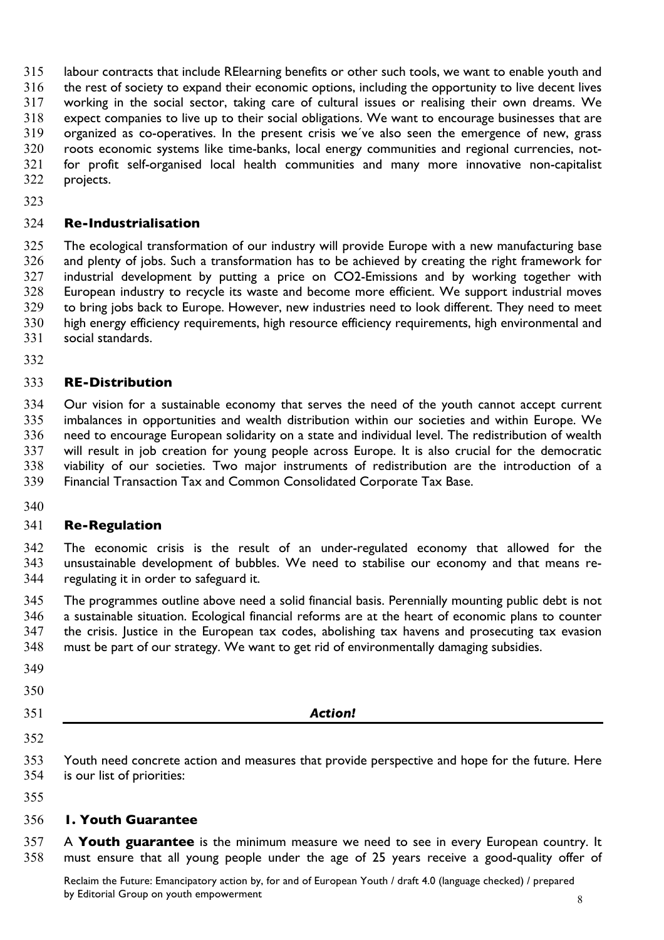labour contracts that include RElearning benefits or other such tools, we want to enable youth and

the rest of society to expand their economic options, including the opportunity to live decent lives

 working in the social sector, taking care of cultural issues or realising their own dreams. We expect companies to live up to their social obligations. We want to encourage businesses that are organized as co-operatives. In the present crisis we´ve also seen the emergence of new, grass roots economic systems like time-banks, local energy communities and regional currencies, not- for profit self-organised local health communities and many more innovative non-capitalist projects.

## **Re-Industrialisation**

 The ecological transformation of our industry will provide Europe with a new manufacturing base and plenty of jobs. Such a transformation has to be achieved by creating the right framework for industrial development by putting a price on CO2-Emissions and by working together with European industry to recycle its waste and become more efficient. We support industrial moves to bring jobs back to Europe. However, new industries need to look different. They need to meet high energy efficiency requirements, high resource efficiency requirements, high environmental and social standards.

## **RE-Distribution**

 Our vision for a sustainable economy that serves the need of the youth cannot accept current imbalances in opportunities and wealth distribution within our societies and within Europe. We need to encourage European solidarity on a state and individual level. The redistribution of wealth will result in job creation for young people across Europe. It is also crucial for the democratic viability of our societies. Two major instruments of redistribution are the introduction of a Financial Transaction Tax and Common Consolidated Corporate Tax Base.

### **Re-Regulation**

 The economic crisis is the result of an under-regulated economy that allowed for the unsustainable development of bubbles. We need to stabilise our economy and that means re-regulating it in order to safeguard it.

 The programmes outline above need a solid financial basis. Perennially mounting public debt is not a sustainable situation. Ecological financial reforms are at the heart of economic plans to counter the crisis. Justice in the European tax codes, abolishing tax havens and prosecuting tax evasion must be part of our strategy. We want to get rid of environmentally damaging subsidies.

- 
- 
- 
- 

### *Action!*

- Youth need concrete action and measures that provide perspective and hope for the future. Here is our list of priorities:
- 

### **1. Youth Guarantee**

 A **Youth guarantee** is the minimum measure we need to see in every European country. It must ensure that all young people under the age of 25 years receive a good-quality offer of

Reclaim the Future: Emancipatory action by, for and of European Youth / draft 4.0 (language checked) / prepared by Editorial Group on youth empowerment and set of the set of the set of the set of the set of the set of the set of the set of the set of the set of the set of the set of the set of the set of the set of the set of the se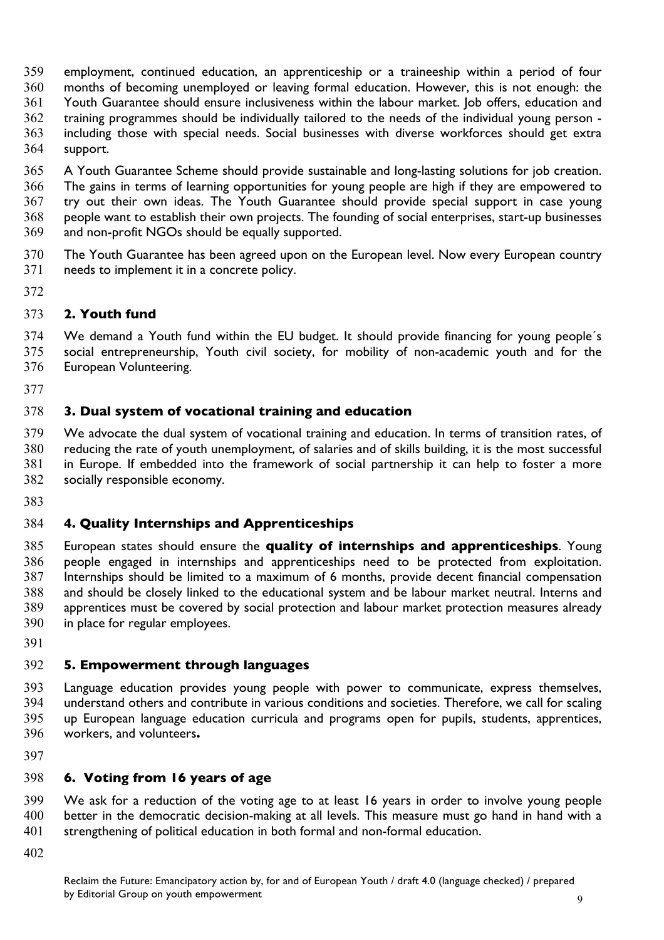- employment, continued education, an apprenticeship or a traineeship within a period of four months of becoming unemployed or leaving formal education. However, this is not enough: the Youth Guarantee should ensure inclusiveness within the labour market. Job offers, education and training programmes should be individually tailored to the needs of the individual young person - including those with special needs. Social businesses with diverse workforces should get extra support.
- A Youth Guarantee Scheme should provide sustainable and long-lasting solutions for job creation. The gains in terms of learning opportunities for young people are high if they are empowered to try out their own ideas. The Youth Guarantee should provide special support in case young people want to establish their own projects. The founding of social enterprises, start-up businesses and non-profit NGOs should be equally supported.
- The Youth Guarantee has been agreed upon on the European level. Now every European country needs to implement it in a concrete policy.
- 

## **2. Youth fund**

 We demand a Youth fund within the EU budget. It should provide financing for young people´s social entrepreneurship, Youth civil society, for mobility of non-academic youth and for the European Volunteering.

## **3. Dual system of vocational training and education**

 We advocate the dual system of vocational training and education. In terms of transition rates, of reducing the rate of youth unemployment, of salaries and of skills building, it is the most successful in Europe. If embedded into the framework of social partnership it can help to foster a more socially responsible economy.

## **4. Quality Internships and Apprenticeships**

 European states should ensure the **quality of internships and apprenticeships**. Young people engaged in internships and apprenticeships need to be protected from exploitation. Internships should be limited to a maximum of 6 months, provide decent financial compensation and should be closely linked to the educational system and be labour market neutral. Interns and apprentices must be covered by social protection and labour market protection measures already in place for regular employees.

### **5. Empowerment through languages**

 Language education provides young people with power to communicate, express themselves, understand others and contribute in various conditions and societies. Therefore, we call for scaling up European language education curricula and programs open for pupils, students, apprentices, workers, and volunteers**.**

## **6. Voting from 16 years of age**

 We ask for a reduction of the voting age to at least 16 years in order to involve young people better in the democratic decision-making at all levels. This measure must go hand in hand with a strengthening of political education in both formal and non-formal education.